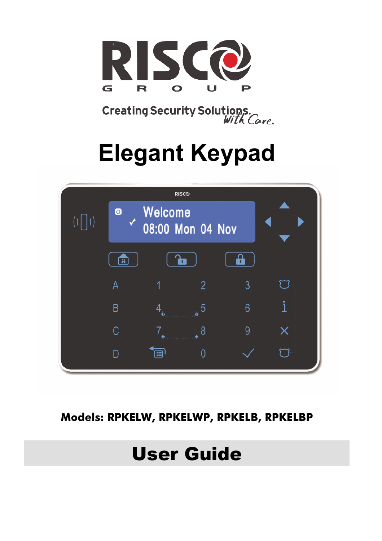

Creating Security Solutions.<br>With Care.

# **Elegant Keypad**



#### **Models: RPKELW, RPKELWP, RPKELB, RPKELBP**

# User Guide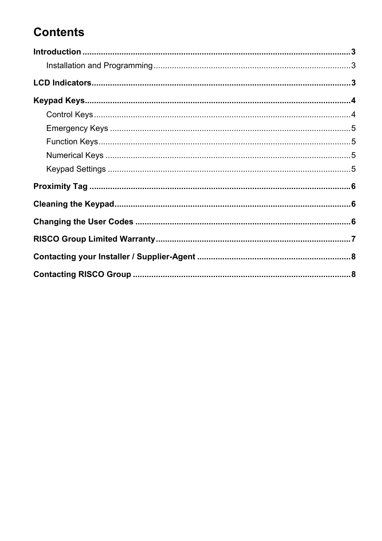# **Contents**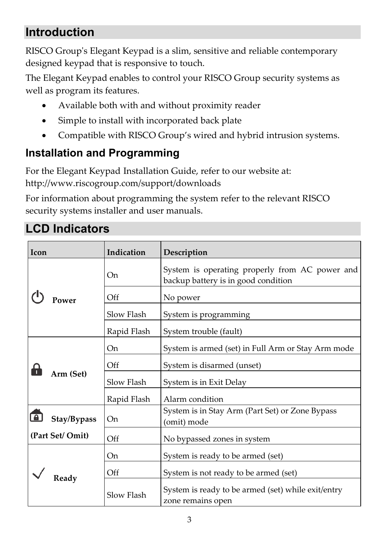# **Introduction**

RISCO Group's Elegant Keypad is a slim, sensitive and reliable contemporary designed keypad that is responsive to touch.

The Elegant Keypad enables to control your RISCO Group security systems as well as program its features.

- Available both with and without proximity reader
- Simple to install with incorporated back plate
- Compatible with RISCO Group's wired and hybrid intrusion systems.

# **Installation and Programming**

For the Elegant Keypad Installation Guide, refer to our website at: http://www.riscogroup.com/support/downloads

For information about programming the system refer to the relevant RISCO security systems installer and user manuals.

| Icon |                   | Indication  | Description                                                                           |
|------|-------------------|-------------|---------------------------------------------------------------------------------------|
|      | <sup>2</sup> nwer | On          | System is operating properly from AC power and<br>backup battery is in good condition |
|      |                   | Off         | No power                                                                              |
|      |                   | Slow Flash  | System is programming                                                                 |
|      |                   | Rapid Flash | System trouble (fault)                                                                |
|      | Arm (Set)         | On.         | System is armed (set) in Full Arm or Stay Arm mode                                    |
|      |                   | Off         | System is disarmed (unset)                                                            |
|      |                   | Slow Flash  | System is in Exit Delay                                                               |
|      |                   | Rapid Flash | Alarm condition                                                                       |
| А.   | Stay/Bypass       | On.         | System is in Stay Arm (Part Set) or Zone Bypass<br>(omit) mode                        |
|      | (Part Set/Omit)   | Off         | No bypassed zones in system                                                           |
|      | Readv             | On.         | System is ready to be armed (set)                                                     |
|      |                   | Off         | System is not ready to be armed (set)                                                 |
|      |                   | Slow Flash  | System is ready to be armed (set) while exit/entry<br>zone remains open               |

## **LCD Indicators**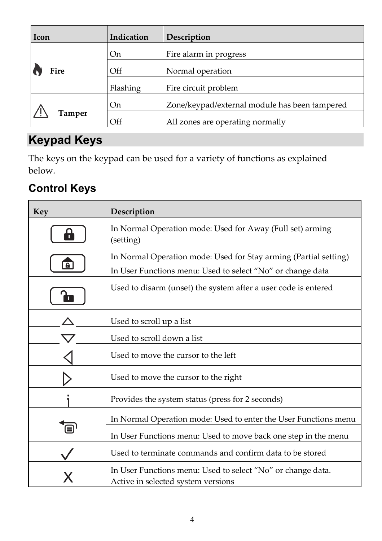| Icon          | Indication | Description                                   |
|---------------|------------|-----------------------------------------------|
|               | On         | Fire alarm in progress                        |
| Fire          | Off        | Normal operation                              |
|               | Flashing   | Fire circuit problem                          |
|               | On         | Zone/keypad/external module has been tampered |
| <b>Tamper</b> | Off        | All zones are operating normally              |

# **Keypad Keys**

The keys on the keypad can be used for a variety of functions as explained below.

# **Control Keys**

| Key | Description                                                                                       |
|-----|---------------------------------------------------------------------------------------------------|
|     | In Normal Operation mode: Used for Away (Full set) arming<br>(setting)                            |
|     | In Normal Operation mode: Used for Stay arming (Partial setting)                                  |
| А   | In User Functions menu: Used to select "No" or change data                                        |
|     | Used to disarm (unset) the system after a user code is entered                                    |
|     | Used to scroll up a list                                                                          |
|     | Used to scroll down a list                                                                        |
|     | Used to move the cursor to the left                                                               |
|     | Used to move the cursor to the right                                                              |
|     | Provides the system status (press for 2 seconds)                                                  |
|     | In Normal Operation mode: Used to enter the User Functions menu                                   |
| ⊜   | In User Functions menu: Used to move back one step in the menu                                    |
|     | Used to terminate commands and confirm data to be stored                                          |
|     | In User Functions menu: Used to select "No" or change data.<br>Active in selected system versions |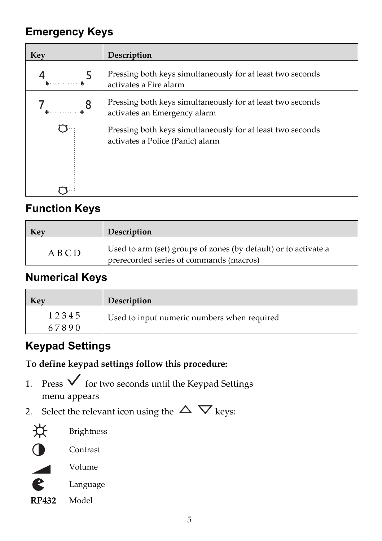## **Emergency Keys**

| Key | Description                                                                                    |
|-----|------------------------------------------------------------------------------------------------|
|     | Pressing both keys simultaneously for at least two seconds<br>activates a Fire alarm           |
|     | Pressing both keys simultaneously for at least two seconds<br>activates an Emergency alarm     |
|     | Pressing both keys simultaneously for at least two seconds<br>activates a Police (Panic) alarm |
|     |                                                                                                |

#### **Function Keys**

| Key     | <b>Description</b>                                                                                         |
|---------|------------------------------------------------------------------------------------------------------------|
| A B C D | Used to arm (set) groups of zones (by default) or to activate a<br>prerecorded series of commands (macros) |

#### **Numerical Keys**

| Key   | Description                                 |
|-------|---------------------------------------------|
| 12345 | Used to input numeric numbers when required |
| 67890 |                                             |

#### **Keypad Settings**

#### **To define keypad settings follow this procedure:**

- 1. Press  $\checkmark$  for two seconds until the Keypad Settings menu appears
- 2. Select the relevant icon using the  $\Delta \nabla$  keys:



Brightness

 $\bullet$ 

Contrast



Volume Language

**RP432** Model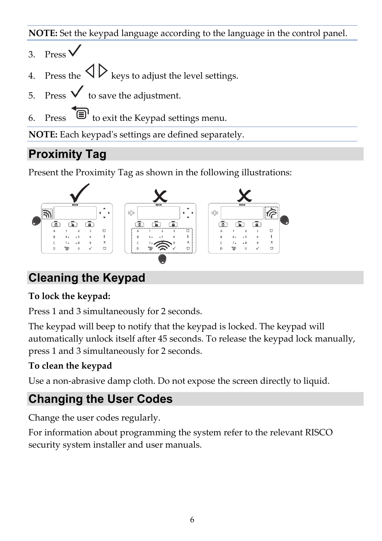**NOTE:** Set the keypad language according to the language in the control panel.

- 3. Press
- 4. Press the  $\Diamond$   $\triangleright$  keys to adjust the level settings.
- 5. Press  $\vee$  to save the adjustment.
- 6. Press  $\Theta$  to exit the Keypad settings menu.

**NOTE:** Each keypad's settings are defined separately.

# **Proximity Tag**

Present the Proximity Tag as shown in the following illustrations:



# **Cleaning the Keypad**

#### **To lock the keypad:**

Press 1 and 3 simultaneously for 2 seconds.

The keypad will beep to notify that the keypad is locked. The keypad will automatically unlock itself after 45 seconds. To release the keypad lock manually, press 1 and 3 simultaneously for 2 seconds.

#### **To clean the keypad**

Use a non-abrasive damp cloth. Do not expose the screen directly to liquid.

# **Changing the User Codes**

Change the user codes regularly.

For information about programming the system refer to the relevant RISCO security system installer and user manuals.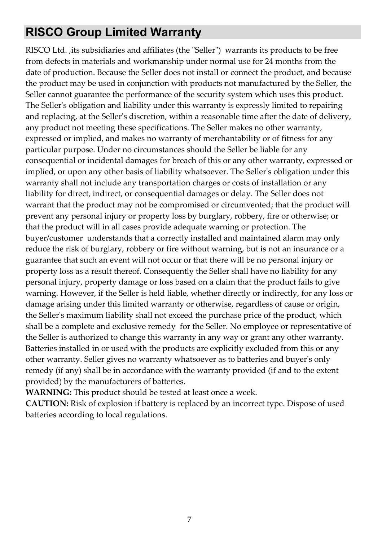# **RISCO Group Limited Warranty**

RISCO Ltd. ,its subsidiaries and affiliates (the "Seller") warrants its products to be free from defects in materials and workmanship under normal use for 24 months from the date of production. Because the Seller does not install or connect the product, and because the product may be used in conjunction with products not manufactured by the Seller, the Seller cannot guarantee the performance of the security system which uses this product. The Seller's obligation and liability under this warranty is expressly limited to repairing and replacing, at the Seller's discretion, within a reasonable time after the date of delivery, any product not meeting these specifications. The Seller makes no other warranty, expressed or implied, and makes no warranty of merchantability or of fitness for any particular purpose. Under no circumstances should the Seller be liable for any consequential or incidental damages for breach of this or any other warranty, expressed or implied, or upon any other basis of liability whatsoever. The Seller's obligation under this warranty shall not include any transportation charges or costs of installation or any liability for direct, indirect, or consequential damages or delay. The Seller does not warrant that the product may not be compromised or circumvented; that the product will prevent any personal injury or property loss by burglary, robbery, fire or otherwise; or that the product will in all cases provide adequate warning or protection. The buyer/customer understands that a correctly installed and maintained alarm may only reduce the risk of burglary, robbery or fire without warning, but is not an insurance or a guarantee that such an event will not occur or that there will be no personal injury or property loss as a result thereof. Consequently the Seller shall have no liability for any personal injury, property damage or loss based on a claim that the product fails to give warning. However, if the Seller is held liable, whether directly or indirectly, for any loss or damage arising under this limited warranty or otherwise, regardless of cause or origin, the Seller's maximum liability shall not exceed the purchase price of the product, which shall be a complete and exclusive remedy for the Seller. No employee or representative of the Seller is authorized to change this warranty in any way or grant any other warranty. Batteries installed in or used with the products are explicitly excluded from this or any other warranty. Seller gives no warranty whatsoever as to batteries and buyer's only remedy (if any) shall be in accordance with the warranty provided (if and to the extent provided) by the manufacturers of batteries.

**WARNING:** This product should be tested at least once a week.

**CAUTION:** Risk of explosion if battery is replaced by an incorrect type. Dispose of used batteries according to local regulations.